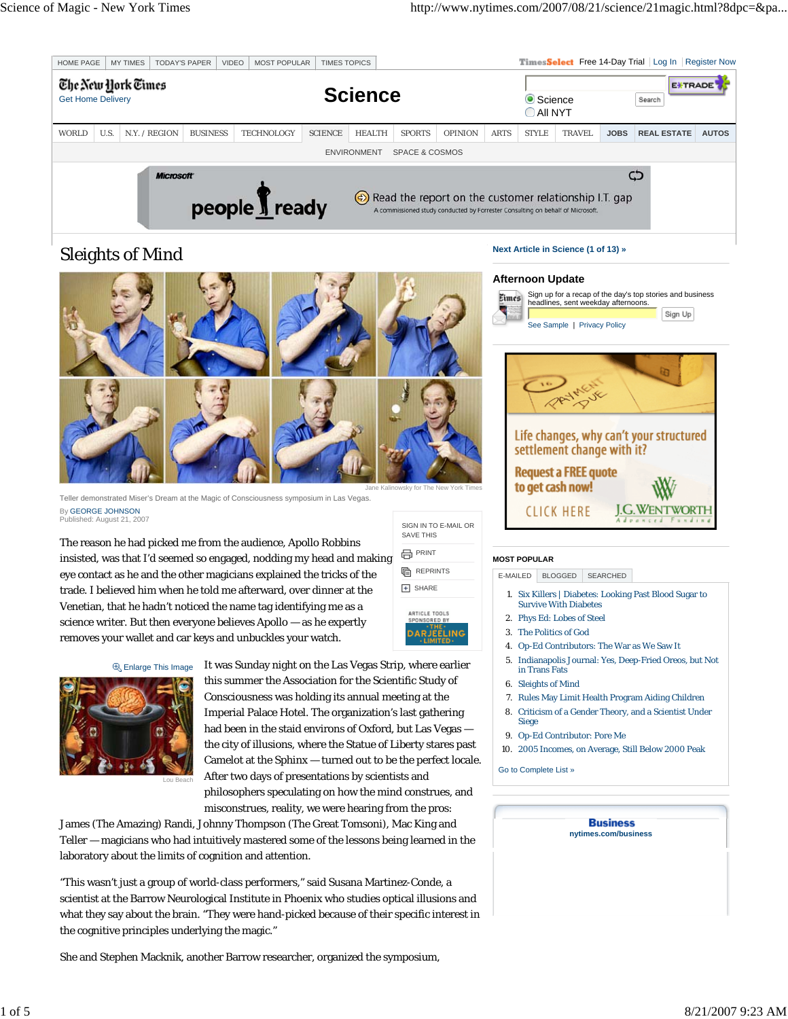

# Sleights of Mind





Teller demonstrated Miser's Dream at the Magic of Consciousness symposium in Las Vegas. By GEORGE JOHNSON Published: August 21, 2007

The reason he had picked me from the audience, Apollo Robbins insisted, was that I'd seemed so engaged, nodding my head and making eye contact as he and the other magicians explained the tricks of the trade. I believed him when he told me afterward, over dinner at the Venetian, that he hadn't noticed the name tag identifying me as a science writer. But then everyone believes Apollo — as he expertly removes your wallet and car keys and unbuckles your watch.



**DARJEELING** 

SIGN IN TO E-MAIL OR SAVE THIS

Jane Kalinowsky for The New York Times

**B** Enlarge This Image



It was Sunday night on the Las Vegas Strip, where earlier this summer the Association for the Scientific Study of Consciousness was holding its annual meeting at the Imperial Palace Hotel. The organization's last gathering had been in the staid environs of Oxford, but Las Vegas the city of illusions, where the Statue of Liberty stares past Camelot at the Sphinx — turned out to be the perfect locale. After two days of presentations by scientists and philosophers speculating on how the mind construes, and misconstrues, reality, we were hearing from the pros:

James (The Amazing) Randi, Johnny Thompson (The Great Tomsoni), Mac King and Teller — magicians who had intuitively mastered some of the lessons being learned in the laboratory about the limits of cognition and attention.

"This wasn't just a group of world-class performers," said Susana Martinez-Conde, a scientist at the Barrow Neurological Institute in Phoenix who studies optical illusions and what they say about the brain. "They were hand-picked because of their specific interest in the cognitive principles underlying the magic."

She and Stephen Macknik, another Barrow researcher, organized the symposium,

# **Afternoon Update**





### **MOST POPULAR**

E-MAILED BLOGGED SEARCHED

- 1. Six Killers | Diabetes: Looking Past Blood Sugar to Survive With Diabetes
- 2. Phys Ed: Lobes of Steel
- 3. The Politics of God
- 4. Op-Ed Contributors: The War as We Saw It
- 5. Indianapolis Journal: Yes, Deep-Fried Oreos, but Not in Trans Fats
- 6. Sleights of Mind
- 7. Rules May Limit Health Program Aiding Children
- 8. Criticism of a Gender Theory, and a Scientist Under Siege
- 9. Op-Ed Contributor: Pore Me
- 10. 2005 Incomes, on Average, Still Below 2000 Peak

Go to Complete List »

**Business nytimes.com/business**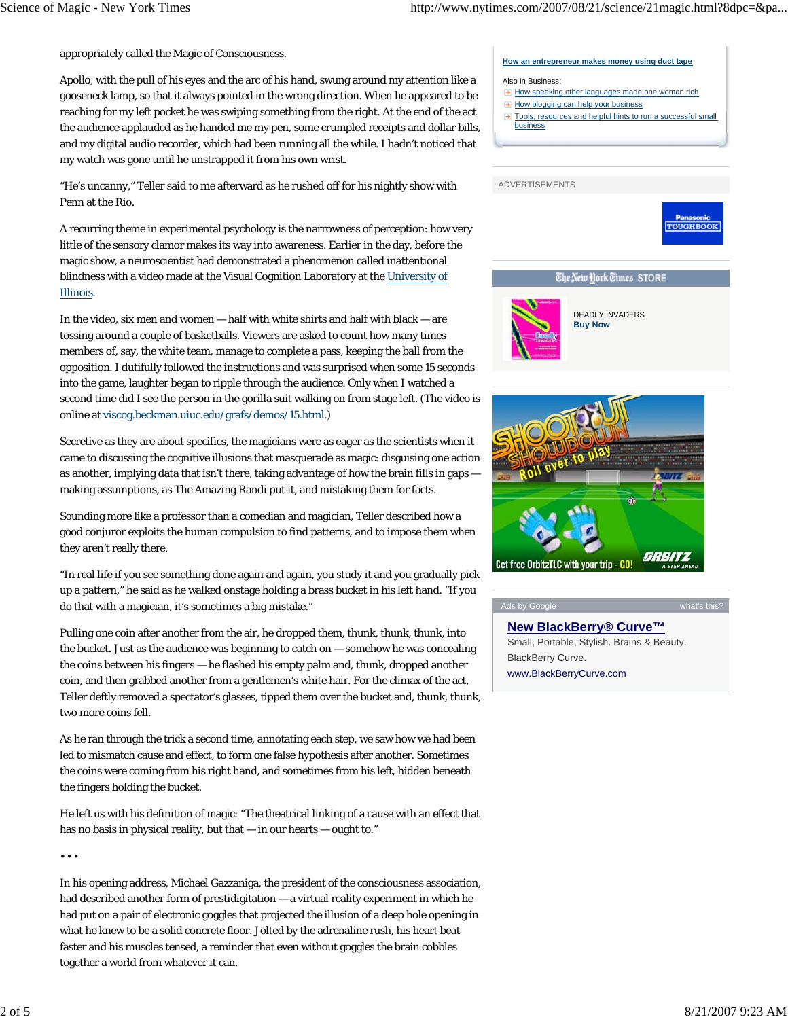appropriately called the Magic of Consciousness.

Apollo, with the pull of his eyes and the arc of his hand, swung around my attention like a gooseneck lamp, so that it always pointed in the wrong direction. When he appeared to be reaching for my left pocket he was swiping something from the right. At the end of the act the audience applauded as he handed me my pen, some crumpled receipts and dollar bills, and my digital audio recorder, which had been running all the while. I hadn't noticed that my watch was gone until he unstrapped it from his own wrist.

"He's uncanny," Teller said to me afterward as he rushed off for his nightly show with Penn at the Rio.

A recurring theme in experimental psychology is the narrowness of perception: how very little of the sensory clamor makes its way into awareness. Earlier in the day, before the magic show, a neuroscientist had demonstrated a phenomenon called inattentional blindness with a video made at the Visual Cognition Laboratory at the University of Illinois.

In the video, six men and women — half with white shirts and half with black — are tossing around a couple of basketballs. Viewers are asked to count how many times members of, say, the white team, manage to complete a pass, keeping the ball from the opposition. I dutifully followed the instructions and was surprised when some 15 seconds into the game, laughter began to ripple through the audience. Only when I watched a second time did I see the person in the gorilla suit walking on from stage left. (The video is online at viscog.beckman.uiuc.edu/grafs/demos/15.html.)

Secretive as they are about specifics, the magicians were as eager as the scientists when it came to discussing the cognitive illusions that masquerade as magic: disguising one action as another, implying data that isn't there, taking advantage of how the brain fills in gaps making assumptions, as The Amazing Randi put it, and mistaking them for facts.

Sounding more like a professor than a comedian and magician, Teller described how a good conjuror exploits the human compulsion to find patterns, and to impose them when they aren't really there.

"In real life if you see something done again and again, you study it and you gradually pick up a pattern," he said as he walked onstage holding a brass bucket in his left hand. "If you do that with a magician, it's sometimes a big mistake."

Pulling one coin after another from the air, he dropped them, thunk, thunk, thunk, into the bucket. Just as the audience was beginning to catch on — somehow he was concealing the coins between his fingers — he flashed his empty palm and, thunk, dropped another coin, and then grabbed another from a gentlemen's white hair. For the climax of the act, Teller deftly removed a spectator's glasses, tipped them over the bucket and, thunk, thunk, two more coins fell.

As he ran through the trick a second time, annotating each step, we saw how we had been led to mismatch cause and effect, to form one false hypothesis after another. Sometimes the coins were coming from his right hand, and sometimes from his left, hidden beneath the fingers holding the bucket.

He left us with his definition of magic: "The theatrical linking of a cause with an effect that has no basis in physical reality, but that — in our hearts — ought to."

• • •

In his opening address, Michael Gazzaniga, the president of the consciousness association, had described another form of prestidigitation — a virtual reality experiment in which he had put on a pair of electronic goggles that projected the illusion of a deep hole opening in what he knew to be a solid concrete floor. Jolted by the adrenaline rush, his heart beat faster and his muscles tensed, a reminder that even without goggles the brain cobbles together a world from whatever it can.

## **How an entrepreneur makes money using duct tape**

#### Also in Business:

- $\rightarrow$  How speaking other languages made one woman rich
- How blogging can help your business
- **F** Tools, resources and helpful hints to run a successful small business
- 





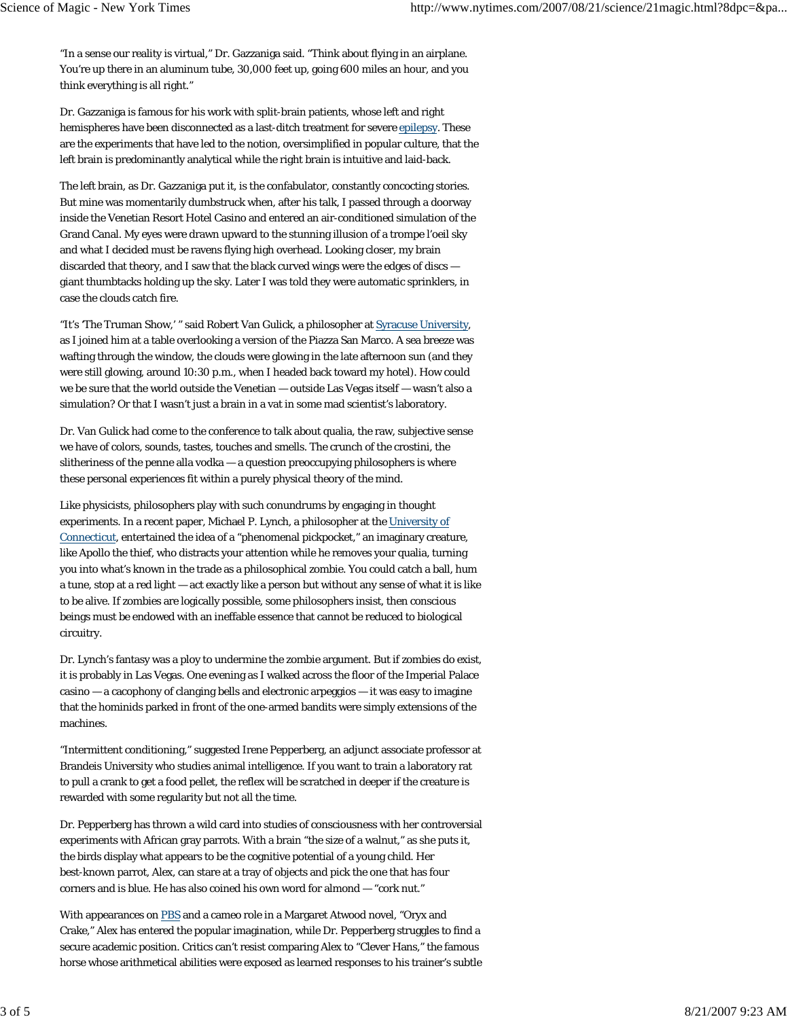"In a sense our reality is virtual," Dr. Gazzaniga said. "Think about flying in an airplane. You're up there in an aluminum tube, 30,000 feet up, going 600 miles an hour, and you think everything is all right."

Dr. Gazzaniga is famous for his work with split-brain patients, whose left and right hemispheres have been disconnected as a last-ditch treatment for severe epilepsy. These are the experiments that have led to the notion, oversimplified in popular culture, that the left brain is predominantly analytical while the right brain is intuitive and laid-back.

The left brain, as Dr. Gazzaniga put it, is the confabulator, constantly concocting stories. But mine was momentarily dumbstruck when, after his talk, I passed through a doorway inside the Venetian Resort Hotel Casino and entered an air-conditioned simulation of the Grand Canal. My eyes were drawn upward to the stunning illusion of a trompe l'oeil sky and what I decided must be ravens flying high overhead. Looking closer, my brain discarded that theory, and I saw that the black curved wings were the edges of discs giant thumbtacks holding up the sky. Later I was told they were automatic sprinklers, in case the clouds catch fire.

"It's 'The Truman Show,' " said Robert Van Gulick, a philosopher at Syracuse University, as I joined him at a table overlooking a version of the Piazza San Marco. A sea breeze was wafting through the window, the clouds were glowing in the late afternoon sun (and they were still glowing, around 10:30 p.m., when I headed back toward my hotel). How could we be sure that the world outside the Venetian — outside Las Vegas itself — wasn't also a simulation? Or that I wasn't just a brain in a vat in some mad scientist's laboratory.

Dr. Van Gulick had come to the conference to talk about qualia, the raw, subjective sense we have of colors, sounds, tastes, touches and smells. The crunch of the crostini, the slitheriness of the penne alla vodka — a question preoccupying philosophers is where these personal experiences fit within a purely physical theory of the mind.

Like physicists, philosophers play with such conundrums by engaging in thought experiments. In a recent paper, Michael P. Lynch, a philosopher at the University of Connecticut, entertained the idea of a "phenomenal pickpocket," an imaginary creature, like Apollo the thief, who distracts your attention while he removes your qualia, turning you into what's known in the trade as a philosophical zombie. You could catch a ball, hum a tune, stop at a red light — act exactly like a person but without any sense of what it is like to be alive. If zombies are logically possible, some philosophers insist, then conscious beings must be endowed with an ineffable essence that cannot be reduced to biological circuitry.

Dr. Lynch's fantasy was a ploy to undermine the zombie argument. But if zombies do exist, it is probably in Las Vegas. One evening as I walked across the floor of the Imperial Palace casino — a cacophony of clanging bells and electronic arpeggios — it was easy to imagine that the hominids parked in front of the one-armed bandits were simply extensions of the machines.

"Intermittent conditioning," suggested Irene Pepperberg, an adjunct associate professor at Brandeis University who studies animal intelligence. If you want to train a laboratory rat to pull a crank to get a food pellet, the reflex will be scratched in deeper if the creature is rewarded with some regularity but not all the time.

Dr. Pepperberg has thrown a wild card into studies of consciousness with her controversial experiments with African gray parrots. With a brain "the size of a walnut," as she puts it, the birds display what appears to be the cognitive potential of a young child. Her best-known parrot, Alex, can stare at a tray of objects and pick the one that has four corners and is blue. He has also coined his own word for almond — "cork nut."

With appearances on PBS and a cameo role in a Margaret Atwood novel, "Oryx and Crake," Alex has entered the popular imagination, while Dr. Pepperberg struggles to find a secure academic position. Critics can't resist comparing Alex to "Clever Hans," the famous horse whose arithmetical abilities were exposed as learned responses to his trainer's subtle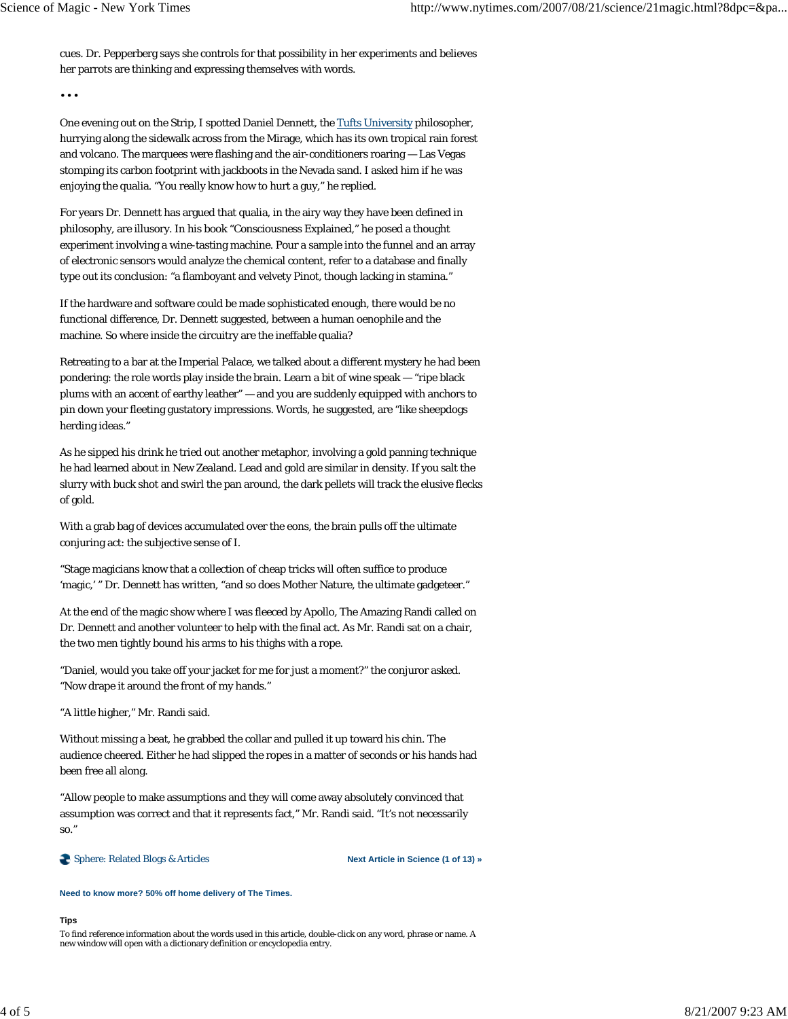cues. Dr. Pepperberg says she controls for that possibility in her experiments and believes her parrots are thinking and expressing themselves with words.

• • •

One evening out on the Strip, I spotted Daniel Dennett, the Tufts University philosopher, hurrying along the sidewalk across from the Mirage, which has its own tropical rain forest and volcano. The marquees were flashing and the air-conditioners roaring — Las Vegas stomping its carbon footprint with jackboots in the Nevada sand. I asked him if he was enjoying the qualia. "You really know how to hurt a guy," he replied.

For years Dr. Dennett has argued that qualia, in the airy way they have been defined in philosophy, are illusory. In his book "Consciousness Explained," he posed a thought experiment involving a wine-tasting machine. Pour a sample into the funnel and an array of electronic sensors would analyze the chemical content, refer to a database and finally type out its conclusion: "a flamboyant and velvety Pinot, though lacking in stamina."

If the hardware and software could be made sophisticated enough, there would be no functional difference, Dr. Dennett suggested, between a human oenophile and the machine. So where inside the circuitry are the ineffable qualia?

Retreating to a bar at the Imperial Palace, we talked about a different mystery he had been pondering: the role words play inside the brain. Learn a bit of wine speak — "ripe black plums with an accent of earthy leather" — and you are suddenly equipped with anchors to pin down your fleeting gustatory impressions. Words, he suggested, are "like sheepdogs herding ideas."

As he sipped his drink he tried out another metaphor, involving a gold panning technique he had learned about in New Zealand. Lead and gold are similar in density. If you salt the slurry with buck shot and swirl the pan around, the dark pellets will track the elusive flecks of gold.

With a grab bag of devices accumulated over the eons, the brain pulls off the ultimate conjuring act: the subjective sense of I.

"Stage magicians know that a collection of cheap tricks will often suffice to produce 'magic,' " Dr. Dennett has written, "and so does Mother Nature, the ultimate gadgeteer."

At the end of the magic show where I was fleeced by Apollo, The Amazing Randi called on Dr. Dennett and another volunteer to help with the final act. As Mr. Randi sat on a chair, the two men tightly bound his arms to his thighs with a rope.

"Daniel, would you take off your jacket for me for just a moment?" the conjuror asked. "Now drape it around the front of my hands."

"A little higher," Mr. Randi said.

Without missing a beat, he grabbed the collar and pulled it up toward his chin. The audience cheered. Either he had slipped the ropes in a matter of seconds or his hands had been free all along.

"Allow people to make assumptions and they will come away absolutely convinced that assumption was correct and that it represents fact," Mr. Randi said. "It's not necessarily so."

Sphere: Related Blogs & Articles **Next Article in Science (1 of 13) »**

**Need to know more? 50% off home delivery of The Times.**

# **Tips**

To find reference information about the words used in this article, double-click on any word, phrase or name. A new window will open with a dictionary definition or encyclopedia entry.